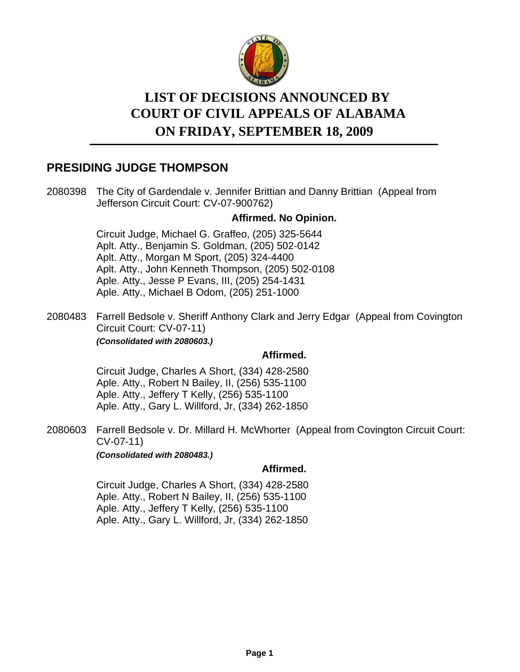

# **LIST OF DECISIONS ANNOUNCED BY ON FRIDAY, SEPTEMBER 18, 2009 COURT OF CIVIL APPEALS OF ALABAMA**

# **PRESIDING JUDGE THOMPSON**

2080398 The City of Gardendale v. Jennifer Brittian and Danny Brittian (Appeal from Jefferson Circuit Court: CV-07-900762)

# **Affirmed. No Opinion.**

Circuit Judge, Michael G. Graffeo, (205) 325-5644 Aplt. Atty., Benjamin S. Goldman, (205) 502-0142 Aplt. Atty., Morgan M Sport, (205) 324-4400 Aplt. Atty., John Kenneth Thompson, (205) 502-0108 Aple. Atty., Jesse P Evans, III, (205) 254-1431 Aple. Atty., Michael B Odom, (205) 251-1000

2080483 Farrell Bedsole v. Sheriff Anthony Clark and Jerry Edgar (Appeal from Covington Circuit Court: CV-07-11) *(Consolidated with 2080603.)*

# **Affirmed.**

Circuit Judge, Charles A Short, (334) 428-2580 Aple. Atty., Robert N Bailey, II, (256) 535-1100 Aple. Atty., Jeffery T Kelly, (256) 535-1100 Aple. Atty., Gary L. Willford, Jr, (334) 262-1850

2080603 Farrell Bedsole v. Dr. Millard H. McWhorter (Appeal from Covington Circuit Court: CV-07-11) *(Consolidated with 2080483.)*

# **Affirmed.**

Circuit Judge, Charles A Short, (334) 428-2580 Aple. Atty., Robert N Bailey, II, (256) 535-1100 Aple. Atty., Jeffery T Kelly, (256) 535-1100 Aple. Atty., Gary L. Willford, Jr, (334) 262-1850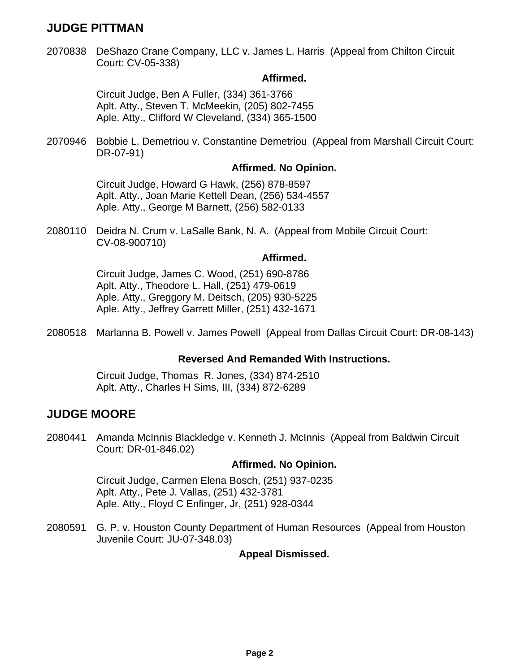# **JUDGE PITTMAN**

2070838 DeShazo Crane Company, LLC v. James L. Harris (Appeal from Chilton Circuit Court: CV-05-338)

#### **Affirmed.**

Circuit Judge, Ben A Fuller, (334) 361-3766 Aplt. Atty., Steven T. McMeekin, (205) 802-7455 Aple. Atty., Clifford W Cleveland, (334) 365-1500

Bobbie L. Demetriou v. Constantine Demetriou (Appeal from Marshall Circuit Court: DR-07-91) 2070946

#### **Affirmed. No Opinion.**

Circuit Judge, Howard G Hawk, (256) 878-8597 Aplt. Atty., Joan Marie Kettell Dean, (256) 534-4557 Aple. Atty., George M Barnett, (256) 582-0133

2080110 Deidra N. Crum v. LaSalle Bank, N. A. (Appeal from Mobile Circuit Court: CV-08-900710)

#### **Affirmed.**

Circuit Judge, James C. Wood, (251) 690-8786 Aplt. Atty., Theodore L. Hall, (251) 479-0619 Aple. Atty., Greggory M. Deitsch, (205) 930-5225 Aple. Atty., Jeffrey Garrett Miller, (251) 432-1671

2080518 Marlanna B. Powell v. James Powell (Appeal from Dallas Circuit Court: DR-08-143)

# **Reversed And Remanded With Instructions.**

Circuit Judge, Thomas R. Jones, (334) 874-2510 Aplt. Atty., Charles H Sims, III, (334) 872-6289

# **JUDGE MOORE**

2080441 Amanda McInnis Blackledge v. Kenneth J. McInnis (Appeal from Baldwin Circuit Court: DR-01-846.02)

# **Affirmed. No Opinion.**

Circuit Judge, Carmen Elena Bosch, (251) 937-0235 Aplt. Atty., Pete J. Vallas, (251) 432-3781 Aple. Atty., Floyd C Enfinger, Jr, (251) 928-0344

2080591 G. P. v. Houston County Department of Human Resources (Appeal from Houston Juvenile Court: JU-07-348.03)

# **Appeal Dismissed.**